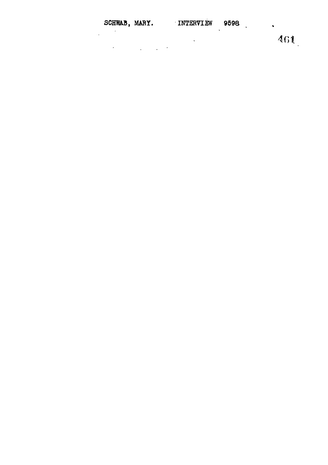$\sim 10^6$  $\ddot{\phantom{a}}$ 

461

 $\ddot{\phantom{a}}$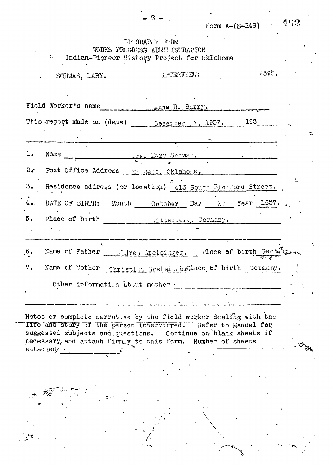Form  $A-(S-149)$ 

 $\mathbf{y}^{\dagger}$ 

|                                             |  | BICGRAPHY FORM                |  |
|---------------------------------------------|--|-------------------------------|--|
|                                             |  | WORKS PROGRESS ADMINISTRATION |  |
| Indian-Pioneer History Project for Oklahoma |  |                               |  |

 $\frac{2}{1}$ 

 $\mathfrak{B}$ 

| SCHWAB, LARY.                                                                                                                                                                                                                              | INTERVIEW.                  | $$59\%$ .           |
|--------------------------------------------------------------------------------------------------------------------------------------------------------------------------------------------------------------------------------------------|-----------------------------|---------------------|
|                                                                                                                                                                                                                                            |                             |                     |
| This report made on (date) December 17, 1937.                                                                                                                                                                                              |                             | 193                 |
| 1.<br>Name                                                                                                                                                                                                                                 | Lrs. Lary Schwab.           |                     |
| Post Office Address E Reno, Oklahome.<br>$2 \cdot$                                                                                                                                                                                         |                             |                     |
| 3.<br>Residence address (or lecation) 413 South Bickford Street.                                                                                                                                                                           |                             |                     |
| 4.<br>DATE CF BIRTH: Month October Day 28 Year 1857.                                                                                                                                                                                       |                             |                     |
|                                                                                                                                                                                                                                            |                             |                     |
| Name of Father <i>midres Sreisinger.</i> Place of birth German:<br>$.6$ .                                                                                                                                                                  |                             |                     |
| 7.<br>Name of Mother _ Innisting BreisingerRlace of birth Cermany.<br>Cther information about mother                                                                                                                                       |                             |                     |
|                                                                                                                                                                                                                                            |                             |                     |
| Notes or complete narrative by the field worker dealing with the<br>file and story of the person interviewed.<br>suggested subjects and questions.<br>necessary, and attach firmly to this form. Number of sheets<br>attached <sub>7</sub> | Continue on blank sheets if | Refer to Manual for |
|                                                                                                                                                                                                                                            |                             |                     |
|                                                                                                                                                                                                                                            |                             |                     |
|                                                                                                                                                                                                                                            |                             |                     |

 $\mathcal{A}\mathbb{C}\mathcal{Q}$ 

÷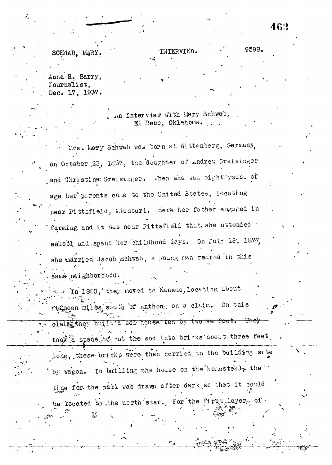9598.

Anna R. Barry, Journalist, Dec. 17, 1937.

SCHWAB, MARY.

An Interview With Mary Schwab, El Reno, Oklahoma.

INTERVIEW.

Mrs. Lary Schwab was born at Wittenberg, Germany, on October 23, 1857, the daughter of Andrew Greisinger and Christina: Greisinger. When she was sight years of age her parents came to the United States, locating near Pittsfield, Missouri. Here her father engaged in farming and it was near Pittsfield that she attended . school and spent her childhood days. On July 18, 1877, she married Jacob Schwab, a young man reared in this same neighborhood.

.... Tn.1880, they moved to Kansas, locating about firteen miles south of anthong on a claim. On this claig they built a som house ten by twelve foot. They took is spade to out the sod into bricks about three feet long, these bricks were then carried to the building site by wagon. In building the house on the homestead, the " line for the wall was drawn after dark so that it could be located by the north star. For the first layer, of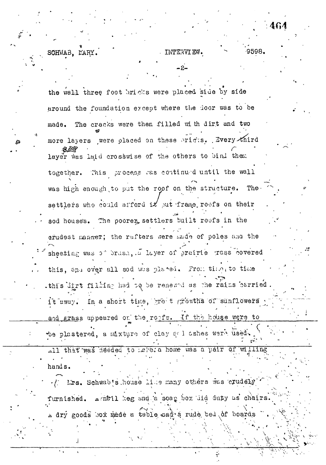SCHWAB. MARY.

## INTERVIEW.

 $46\prime$ 

9598.

the wall three foot bricks were placed side by side around the foundation except where the door was to be The cracks were then filled with dirt and two made. more layers were placed on these pricks. Every third layer was laid crosswise of the others to bind them together. This process ras continued until the wall was high enough to put the roof on the structure. The settlers who could afford it but frame roofs on their sod house's. The poorer settlers built roofs in the crudest manner; the rafters were made of poles and the sheeting was of brash, a layer of prairie rass hovered this, and over all sod was placed. From the to time this dirt filling had to be renewed as the rains carried In a short time, greet growths of sunflowers it away. and grass appeared on the roofs. If the house were to be plastered, a mixture of clay or I ashes were used.

all that was deded to aleta home was a pair of willing hands.

Mrs. Schwab's house like many others was crudely furnished. A natil keg and a soap hox lid duty as chairs A drý goods box made a table and a rude bed of boards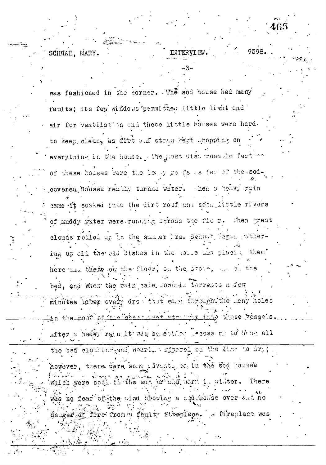SCHWAB, MARY.

was fashioned in the corner. The sod house had many faults; its fey windows permitted little light and air for ventilation and these little houses were hard. to keep clean, as dirt and straw keep Aropping on everything in the house. The just disc recalle feature of these houses were the leavy ro is as few of the sodcovered houses really turned witer. then a heavy rain came it soshed into the dirt roof and soon little rivers of muddy water were running deross the flor. Then great clouds rolled up in the sum er irs. Schuch Cagen wathering up all the cld dishes in the notes am placing them' here und there on the floor, on the stove, and on the bed, and when the ruin cake down in torrents a few minutes later every drow that same forought the Leny holes in the rout of the share meet atribute into those vessels After a heavy rain it was soletified lecess ry to bong all the bed clothing and weart. . spperel on the line to dry; however, there were some plivanta es in the sod houses which were cool in the suf or and wart in winter. There was ho fear of the wind browing a spiritual over and no danger of fire from a faulty fireplace. A fireplace was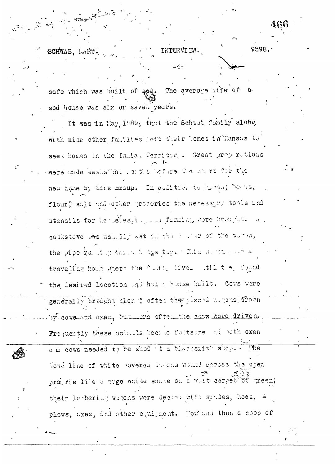SCHWAB, LARY.

INTERVIEW.

9598.

safe which was built of seq. The average life of a sod house was six or seven years.

It was in May 1889, that the Schwab family along with nine other families left their homes in Kansas to seet homes in the India. Territor; . Great prep rutions were mode weeks into the before the it rt fir the new home by this moup. In sudition to break, beins, flour? salt and other proceries the necessive tools and utensils for hotes each ... ... forming were brought. ... cookstove wes usually set in the new of the working the pipe family thrown to the top. This almones on a traveling home where the full, lived will te, found the desired location and had a house built. Cows were generally breught alone; often they placed manors arawn by coms and oxen, but me often the coms were driven. Frequently these animals became fortsore ad both oxen and cows needed to be shod 't a blacksmit's shop. The lond line of white povered abouts would across the open proirie li'e u nuge white share on a vist carret of preen;

their lumberium warons were decler with spules, hoes, A plows, axes, and other equipment. Now and then a coop of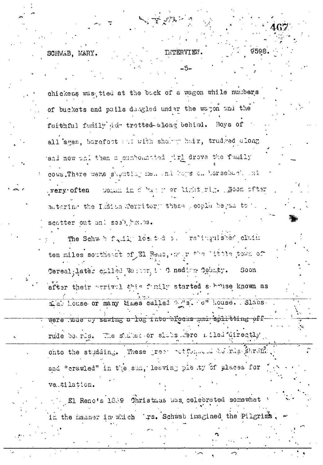SCHWAB, MARY.

**INTERVIER** 

-5–

chickens was tied at the back of a wagon while numbers of buckets and pails dangled under the wagon and the fuithful fumily her trotted along behind. Boys of all ages, barefoot and with sharpy hair, trudged along and now and then a sunbouncted timi drove the fumily cows. There were shouting men and boys on horseback and Moment in d but of or light rig. Soon ofter very often satering the IAsian Merritory these people began to scatter out and seed heads.

The Schweb family losted of relinguished cluim ten miles southeast of El Reno, and r the little town of Gereal later called Remor, in G. nadian County. Soon after their arrival this family started a house known as shab house or many times called the strewhouse. Slabs. Per suit frigt and saooft end i gof a suims vr suit to an rude bourds. The sadies or siths mere a iled qirectly onto the studding. These present them in the shrenk and "crawled" in the sun, leaving pie ty of alaces for ve.tilation.

El Reno's 1839 Christmas was celebrated somewhat in the manner in which '.rs. Schwab imagined the Pilgrims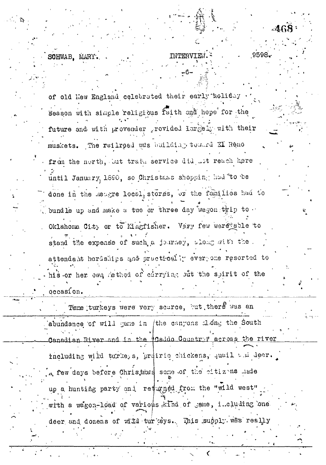SCHWAB. MARY

of old New England celebrated their early holiday Season with simple religious faith and hope for the future and with provender provided largely with their muskets. The reilroad was building toward El Reno from the north, but train service did not reach here until January, 1890, so Christass shopping had to be done in the meagre local, stores, or the families had to bundle up and make a two or three day wagon thip to Oklahoma City or to Kingfisher. Very few were able to stand the expense of such a journey, slong with the attendaht hardships and practically everyone resorted to his or her own rethed of carrying out the spirit of the occasion.

9598.

Tame turkeys were very scarce, but there was an abundance of will game in (the canyons along the South Canadian River and in the Maddo Country, across the river including wild turkeys, preirie chickens, quail wild deer. pew days before Christmas some of the citizens hade up a hunting party and returned from the "wild west" wrth a wagon-load of various kind of same, including one deer and dozens of wild tur eys. This supply was really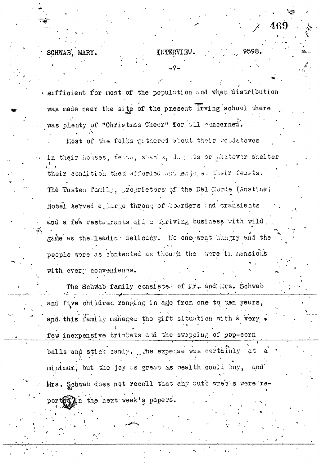INTERVIEW.

9598

· sufficient for most of the population and when distribution was made near the site of the present Irving school there was plenty of "Christmas Cheer" for wil concerned.

Most of the folks guthered about their moulstoves in their houses, tents, sharle, due ts or whatever shelter their condition then afforded and enjoye, their feasts. The Tusten family, proprietors of the Del Horde (Anstine) Hotel served a large throng of boarders and transients and a few restaurants ald a thriving business with wild. game as the leadin delicacy. No one went hungry and the people were as contented as though the were in mansions with every convenience.

The Schwab family consisted of Mr. and Mrs. Schwab and five children ranging in age from one to ten years, and this family managed the gift situation with a very few inexpensive trinkets and the swapping of pop-corn balls and stick candy. The expense was certainly at minimum, but the joy as great as wealth could buy, and Mrs. Schwab does not recall that any auto wrecks were reportherm the next week's papers.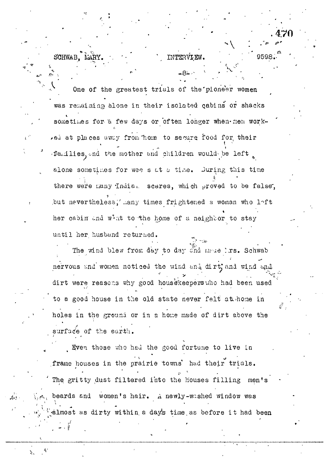One of the greatest trials of the pioneer women was remaining alone in their isolated cabins or shacks sometimes for a few days or often longer when men work- $\epsilon$ ed at places away from home to secure food for, their  $\mathbf{f}$ and the mother and children would be left, alone sometimes for wee s at a time. Juring this time there were many Indian scares, which proved to be false, but nevertheless,'.any times frightened a woman who loft her cabin and w<sup>3</sup>nt to the home of a neighbor to stay until her husband returned.

. The same constant  $\mathcal{A}$  , and  $\mathcal{A}$  are the same constant  $\mathcal{A}$  , and  $\mathcal{A}$  , and  $\mathcal{A}$ 

**<sup>v</sup> '<sup>S</sup>**

 $\mathcal{S} = \left\{ \begin{array}{ll} \mathcal{S} & \mathcal{S} \ \mathcal{S} & \mathcal{S} \end{array} \right.$ 

 $-8+$ 

**^ , - ' •\*' -8 ^**

*\*

**~ , • •**

9598

*,"\** **V**

 $\frac{1}{\sqrt{2}}$ 

**v**

The wind blew from day to day end mede Irs. Schwab nervous and women noticed the wind and dirt, and wind and  $\mathbf{v} = \mathbf{v} \cdot \mathbf{v} + \mathbf{v} \cdot \mathbf{v} + \mathbf{v} \cdot \mathbf{v} + \mathbf{v} \cdot \mathbf{v} + \mathbf{v} \cdot \mathbf{v} + \mathbf{v} \cdot \mathbf{v} + \mathbf{v} \cdot \mathbf{v} + \mathbf{v} \cdot \mathbf{v} + \mathbf{v} \cdot \mathbf{v} + \mathbf{v} \cdot \mathbf{v} + \mathbf{v} \cdot \mathbf{v} + \mathbf{v} \cdot \mathbf{v} + \mathbf{v} \cdot \mathbf{v} + \mathbf{v} \cdot \mathbf{v} + \mathbf$ dirt were reasons why good housekeepers who had been used to a good house in the old state never felt at home in holes in the ground or in a home made of dirt above the surface of the earth.

 $\tilde{\mathbf{z}}$  and  $\tilde{\mathbf{z}}$  is the earth of the earth.  $\frac{1}{2}$  and the mass who good fortune to live in frame houses in the prairie towns had their trials. The gritty dust filtered into the houses filling men's beards and women's hair. *A* newly-washed window was  $\sqrt{\phantom{a}}$  (almost as dirt , and the set of the set of the set of the set of the set of the set of the set of the set of the set of the set of the set of the set of the set of the set of the set of the set of the set of the set of the set of the se . vary  $\mathcal{A}$  as dirty with the day of the dayrs time as before it had been defined by the day before in the day

**y •**